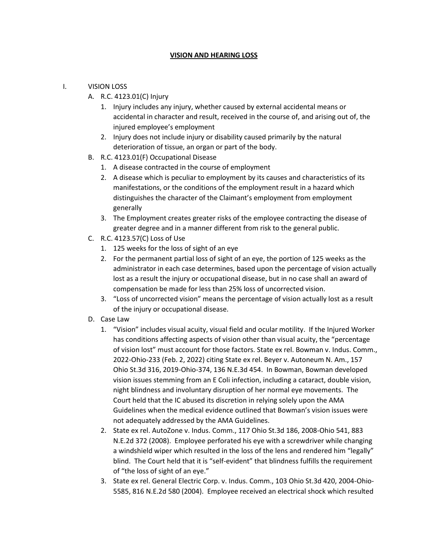## **VISION AND HEARING LOSS**

## I. VISION LOSS

- A. R.C. 4123.01(C) Injury
	- 1. Injury includes any injury, whether caused by external accidental means or accidental in character and result, received in the course of, and arising out of, the injured employee's employment
	- 2. Injury does not include injury or disability caused primarily by the natural deterioration of tissue, an organ or part of the body.
- B. R.C. 4123.01(F) Occupational Disease
	- 1. A disease contracted in the course of employment
	- 2. A disease which is peculiar to employment by its causes and characteristics of its manifestations, or the conditions of the employment result in a hazard which distinguishes the character of the Claimant's employment from employment generally
	- 3. The Employment creates greater risks of the employee contracting the disease of greater degree and in a manner different from risk to the general public.
- C. R.C. 4123.57(C) Loss of Use
	- 1. 125 weeks for the loss of sight of an eye
	- 2. For the permanent partial loss of sight of an eye, the portion of 125 weeks as the administrator in each case determines, based upon the percentage of vision actually lost as a result the injury or occupational disease, but in no case shall an award of compensation be made for less than 25% loss of uncorrected vision.
	- 3. "Loss of uncorrected vision" means the percentage of vision actually lost as a result of the injury or occupational disease.
- D. Case Law
	- 1. "Vision" includes visual acuity, visual field and ocular motility. If the Injured Worker has conditions affecting aspects of vision other than visual acuity, the "percentage of vision lost" must account for those factors. State ex rel. Bowman v. Indus. Comm., 2022-Ohio-233 (Feb. 2, 2022) citing State ex rel. Beyer v. Autoneum N. Am., 157 Ohio St.3d 316, 2019-Ohio-374, 136 N.E.3d 454. In Bowman, Bowman developed vision issues stemming from an E Coli infection, including a cataract, double vision, night blindness and involuntary disruption of her normal eye movements. The Court held that the IC abused its discretion in relying solely upon the AMA Guidelines when the medical evidence outlined that Bowman's vision issues were not adequately addressed by the AMA Guidelines.
	- 2. State ex rel. AutoZone v. Indus. Comm., 117 Ohio St.3d 186, 2008-Ohio 541, 883 N.E.2d 372 (2008). Employee perforated his eye with a screwdriver while changing a windshield wiper which resulted in the loss of the lens and rendered him "legally" blind. The Court held that it is "self-evident" that blindness fulfills the requirement of "the loss of sight of an eye."
	- 3. State ex rel. General Electric Corp. v. Indus. Comm., 103 Ohio St.3d 420, 2004-Ohio-5585, 816 N.E.2d 580 (2004). Employee received an electrical shock which resulted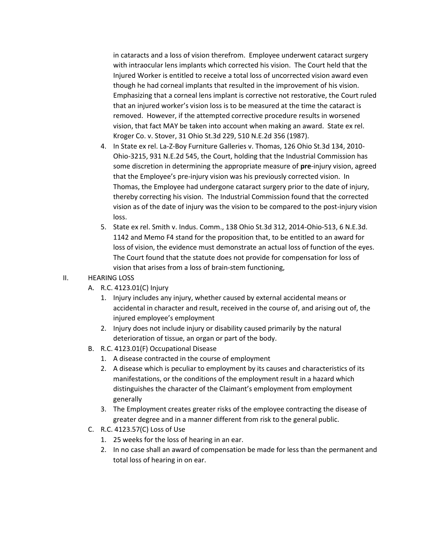in cataracts and a loss of vision therefrom. Employee underwent cataract surgery with intraocular lens implants which corrected his vision. The Court held that the Injured Worker is entitled to receive a total loss of uncorrected vision award even though he had corneal implants that resulted in the improvement of his vision. Emphasizing that a corneal lens implant is corrective not restorative, the Court ruled that an injured worker's vision loss is to be measured at the time the cataract is removed. However, if the attempted corrective procedure results in worsened vision, that fact MAY be taken into account when making an award. State ex rel. Kroger Co. v. Stover, 31 Ohio St.3d 229, 510 N.E.2d 356 (1987).

- 4. In State ex rel. La-Z-Boy Furniture Galleries v. Thomas, 126 Ohio St.3d 134, 2010- Ohio-3215, 931 N.E.2d 545, the Court, holding that the Industrial Commission has some discretion in determining the appropriate measure of **pre**-injury vision, agreed that the Employee's pre-injury vision was his previously corrected vision. In Thomas, the Employee had undergone cataract surgery prior to the date of injury, thereby correcting his vision. The Industrial Commission found that the corrected vision as of the date of injury was the vision to be compared to the post-injury vision loss.
- 5. State ex rel. Smith v. Indus. Comm., 138 Ohio St.3d 312, 2014-Ohio-513, 6 N.E.3d. 1142 and Memo F4 stand for the proposition that, to be entitled to an award for loss of vision, the evidence must demonstrate an actual loss of function of the eyes. The Court found that the statute does not provide for compensation for loss of vision that arises from a loss of brain-stem functioning,

## II. HEARING LOSS

- A. R.C. 4123.01(C) Injury
	- 1. Injury includes any injury, whether caused by external accidental means or accidental in character and result, received in the course of, and arising out of, the injured employee's employment
	- 2. Injury does not include injury or disability caused primarily by the natural deterioration of tissue, an organ or part of the body.
- B. R.C. 4123.01(F) Occupational Disease
	- 1. A disease contracted in the course of employment
	- 2. A disease which is peculiar to employment by its causes and characteristics of its manifestations, or the conditions of the employment result in a hazard which distinguishes the character of the Claimant's employment from employment generally
	- 3. The Employment creates greater risks of the employee contracting the disease of greater degree and in a manner different from risk to the general public.
- C. R.C. 4123.57(C) Loss of Use
	- 1. 25 weeks for the loss of hearing in an ear.
	- 2. In no case shall an award of compensation be made for less than the permanent and total loss of hearing in on ear.